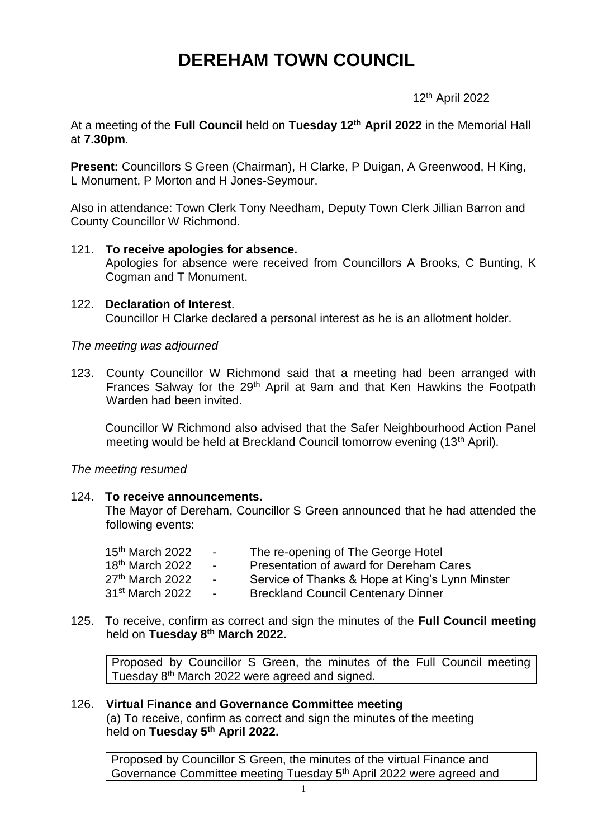# **DEREHAM TOWN COUNCIL**

12th April 2022

At a meeting of the **Full Council** held on **Tuesday 12th April 2022** in the Memorial Hall at **7.30pm**.

**Present:** Councillors S Green (Chairman), H Clarke, P Duigan, A Greenwood, H King, L Monument, P Morton and H Jones-Seymour.

Also in attendance: Town Clerk Tony Needham, Deputy Town Clerk Jillian Barron and County Councillor W Richmond.

## 121. **To receive apologies for absence.**

Apologies for absence were received from Councillors A Brooks, C Bunting, K Cogman and T Monument.

122. **Declaration of Interest**. Councillor H Clarke declared a personal interest as he is an allotment holder.

## *The meeting was adjourned*

123. County Councillor W Richmond said that a meeting had been arranged with Frances Salway for the 29<sup>th</sup> April at 9am and that Ken Hawkins the Footpath Warden had been invited.

Councillor W Richmond also advised that the Safer Neighbourhood Action Panel meeting would be held at Breckland Council tomorrow evening (13<sup>th</sup> April).

## *The meeting resumed*

## 124. **To receive announcements.**

The Mayor of Dereham, Councillor S Green announced that he had attended the following events:

| 15 <sup>th</sup> March 2022 | $\sim$ | The re-opening of The George Hotel              |
|-----------------------------|--------|-------------------------------------------------|
| 18 <sup>th</sup> March 2022 | $\sim$ | Presentation of award for Dereham Cares         |
| 27 <sup>th</sup> March 2022 | $\sim$ | Service of Thanks & Hope at King's Lynn Minster |
| 31 <sup>st</sup> March 2022 | $\sim$ | <b>Breckland Council Centenary Dinner</b>       |

125. To receive, confirm as correct and sign the minutes of the **Full Council meeting** held on **Tuesday 8th March 2022.**

Proposed by Councillor S Green, the minutes of the Full Council meeting Tuesday 8th March 2022 were agreed and signed.

# 126. **Virtual Finance and Governance Committee meeting**

(a) To receive, confirm as correct and sign the minutes of the meeting held on **Tuesday 5th April 2022.**

Proposed by Councillor S Green, the minutes of the virtual Finance and Governance Committee meeting Tuesday 5<sup>th</sup> April 2022 were agreed and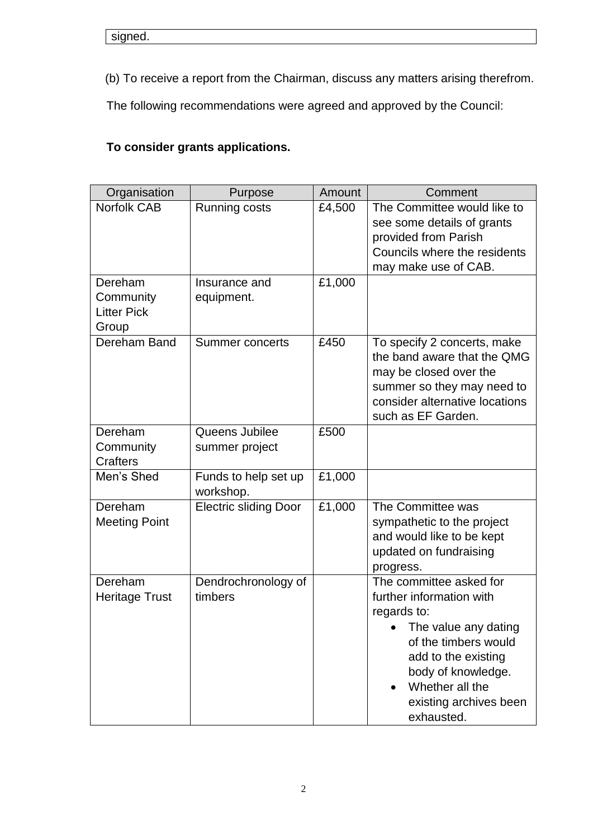signed.

(b) To receive a report from the Chairman, discuss any matters arising therefrom.

The following recommendations were agreed and approved by the Council:

# **To consider grants applications.**

| Organisation                                        | Purpose                           | Amount | Comment                                                                                                                                                                                                                      |
|-----------------------------------------------------|-----------------------------------|--------|------------------------------------------------------------------------------------------------------------------------------------------------------------------------------------------------------------------------------|
| <b>Norfolk CAB</b>                                  | Running costs                     | £4,500 | The Committee would like to<br>see some details of grants<br>provided from Parish<br>Councils where the residents<br>may make use of CAB.                                                                                    |
| Dereham<br>Community<br><b>Litter Pick</b><br>Group | Insurance and<br>equipment.       | £1,000 |                                                                                                                                                                                                                              |
| Dereham Band                                        | <b>Summer concerts</b>            | £450   | To specify 2 concerts, make<br>the band aware that the QMG<br>may be closed over the<br>summer so they may need to<br>consider alternative locations<br>such as EF Garden.                                                   |
| Dereham<br>Community<br><b>Crafters</b>             | Queens Jubilee<br>summer project  | £500   |                                                                                                                                                                                                                              |
| Men's Shed                                          | Funds to help set up<br>workshop. | £1,000 |                                                                                                                                                                                                                              |
| Dereham<br><b>Meeting Point</b>                     | <b>Electric sliding Door</b>      | £1,000 | The Committee was<br>sympathetic to the project<br>and would like to be kept<br>updated on fundraising<br>progress.                                                                                                          |
| Dereham<br><b>Heritage Trust</b>                    | Dendrochronology of<br>timbers    |        | The committee asked for<br>further information with<br>regards to:<br>• The value any dating<br>of the timbers would<br>add to the existing<br>body of knowledge.<br>Whether all the<br>existing archives been<br>exhausted. |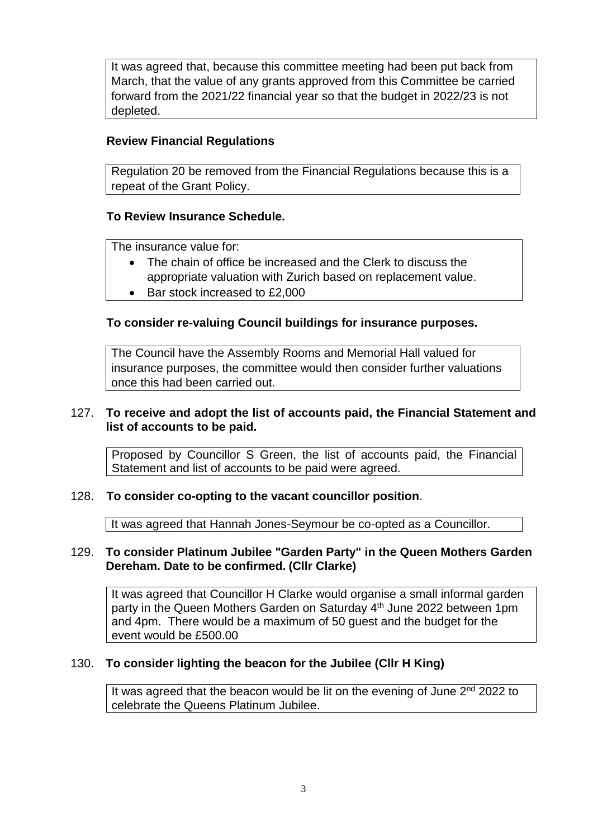It was agreed that, because this committee meeting had been put back from March, that the value of any grants approved from this Committee be carried forward from the 2021/22 financial year so that the budget in 2022/23 is not depleted.

#### **Review Financial Regulations**

Regulation 20 be removed from the Financial Regulations because this is a repeat of the Grant Policy.

## **To Review Insurance Schedule.**

The insurance value for:

- The chain of office be increased and the Clerk to discuss the appropriate valuation with Zurich based on replacement value.
- Bar stock increased to £2,000

#### **To consider re-valuing Council buildings for insurance purposes.**

The Council have the Assembly Rooms and Memorial Hall valued for insurance purposes, the committee would then consider further valuations once this had been carried out.

## 127. **To receive and adopt the list of accounts paid, the Financial Statement and list of accounts to be paid.**

Proposed by Councillor S Green, the list of accounts paid, the Financial Statement and list of accounts to be paid were agreed.

#### 128. **To consider co-opting to the vacant councillor position**.

It was agreed that Hannah Jones-Seymour be co-opted as a Councillor.

#### 129. **To consider Platinum Jubilee "Garden Party" in the Queen Mothers Garden Dereham. Date to be confirmed. (Cllr Clarke)**

It was agreed that Councillor H Clarke would organise a small informal garden party in the Queen Mothers Garden on Saturday 4<sup>th</sup> June 2022 between 1pm and 4pm. There would be a maximum of 50 guest and the budget for the event would be £500.00

#### 130. **To consider lighting the beacon for the Jubilee (Cllr H King)**

It was agreed that the beacon would be lit on the evening of June  $2<sup>nd</sup>$  2022 to celebrate the Queens Platinum Jubilee.